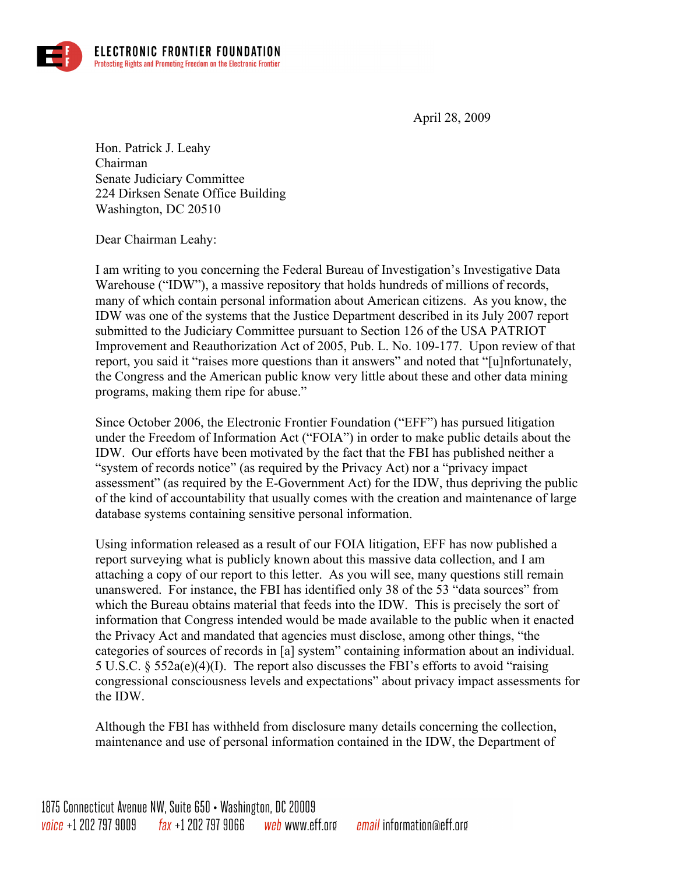

April 28, 2009

Hon. Patrick J. Leahy Chairman Senate Judiciary Committee 224 Dirksen Senate Office Building Washington, DC 20510

Dear Chairman Leahy:

I am writing to you concerning the Federal Bureau of Investigation's Investigative Data Warehouse ("IDW"), a massive repository that holds hundreds of millions of records, many of which contain personal information about American citizens. As you know, the IDW was one of the systems that the Justice Department described in its July 2007 report submitted to the Judiciary Committee pursuant to Section 126 of the USA PATRIOT Improvement and Reauthorization Act of 2005, Pub. L. No. 109-177. Upon review of that report, you said it "raises more questions than it answers" and noted that "[u]nfortunately, the Congress and the American public know very little about these and other data mining programs, making them ripe for abuse."

Since October 2006, the Electronic Frontier Foundation ("EFF") has pursued litigation under the Freedom of Information Act ("FOIA") in order to make public details about the IDW. Our efforts have been motivated by the fact that the FBI has published neither a "system of records notice" (as required by the Privacy Act) nor a "privacy impact assessment" (as required by the E-Government Act) for the IDW, thus depriving the public of the kind of accountability that usually comes with the creation and maintenance of large database systems containing sensitive personal information.

Using information released as a result of our FOIA litigation, EFF has now published a report surveying what is publicly known about this massive data collection, and I am attaching a copy of our report to this letter. As you will see, many questions still remain unanswered. For instance, the FBI has identified only 38 of the 53 "data sources" from which the Bureau obtains material that feeds into the IDW. This is precisely the sort of information that Congress intended would be made available to the public when it enacted the Privacy Act and mandated that agencies must disclose, among other things, "the categories of sources of records in [a] system" containing information about an individual. 5 U.S.C. § 552a(e)(4)(I). The report also discusses the FBI's efforts to avoid "raising congressional consciousness levels and expectations" about privacy impact assessments for the IDW.

Although the FBI has withheld from disclosure many details concerning the collection, maintenance and use of personal information contained in the IDW, the Department of